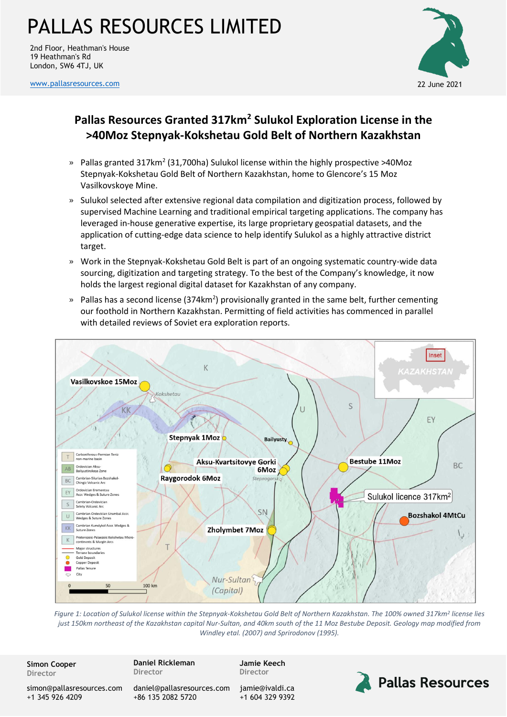2nd Floor, Heathman's House 19 Heathman's Rd London, SW6 4TJ, UK

[www.pallasresources.com](https://www.pallasresources.com/) 22 June 2021



### **Pallas Resources Granted 317km<sup>2</sup> Sulukol Exploration License in the >40Moz Stepnyak-Kokshetau Gold Belt of Northern Kazakhstan**

- $\textdegree$  Pallas granted 317km<sup>2</sup> (31,700ha) Sulukol license within the highly prospective >40Moz Stepnyak-Kokshetau Gold Belt of Northern Kazakhstan, home to Glencore's 15 Moz Vasilkovskoye Mine.
- » Sulukol selected after extensive regional data compilation and digitization process, followed by supervised Machine Learning and traditional empirical targeting applications. The company has leveraged in-house generative expertise, its large proprietary geospatial datasets, and the application of cutting-edge data science to help identify Sulukol as a highly attractive district target.
- » Work in the Stepnyak-Kokshetau Gold Belt is part of an ongoing systematic country-wide data sourcing, digitization and targeting strategy. To the best of the Company's knowledge, it now holds the largest regional digital dataset for Kazakhstan of any company.
- » Pallas has a second license (374km<sup>2</sup>) provisionally granted in the same belt, further cementing our foothold in Northern Kazakhstan. Permitting of field activities has commenced in parallel with detailed reviews of Soviet era exploration reports.



*Figure 1: Location of Sulukol license within the Stepnyak-Kokshetau Gold Belt of Northern Kazakhstan. The 100% owned 317km<sup>2</sup> license lies just 150km northeast of the Kazakhstan capital Nur-Sultan, and 40km south of the 11 Moz Bestube Deposit. Geology map modified from Windley etal. (2007) and Sprirodonov (1995).*

**Simon Cooper Director**

**Daniel Rickleman Director**

**Jamie Keech Director**

**Pallas Resources** 

[simon@pallasresources.com](mailto:simon@pallasresources.com) +1 345 926 4209

[daniel@pallasresources.com](mailto:daniel@pallasresources.com) +86 135 2082 5720

[jamie@i](mailto:jamie@pallasresources.com)valdi.ca +1 604 329 9392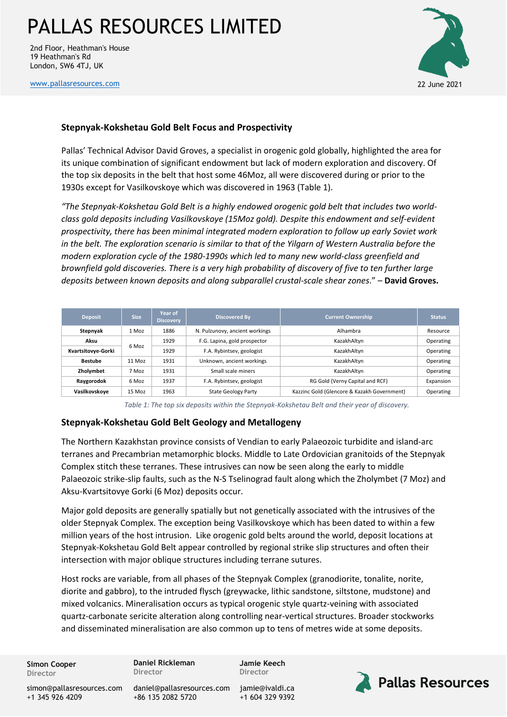2nd Floor, Heathman's House 19 Heathman's Rd London, SW6 4TJ, UK

[www.pallasresources.com](https://www.pallasresources.com/) 22 June 2021



#### **Stepnyak-Kokshetau Gold Belt Focus and Prospectivity**

Pallas' Technical Advisor David Groves, a specialist in orogenic gold globally, highlighted the area for its unique combination of significant endowment but lack of modern exploration and discovery. Of the top six deposits in the belt that host some 46Moz, all were discovered during or prior to the 1930s except for Vasilkovskoye which was discovered in 1963 (Table 1).

*"The Stepnyak-Kokshetau Gold Belt is a highly endowed orogenic gold belt that includes two worldclass gold deposits including Vasilkovskoye (15Moz gold). Despite this endowment and self-evident prospectivity, there has been minimal integrated modern exploration to follow up early Soviet work in the belt. The exploration scenario is similar to that of the Yilgarn of Western Australia before the modern exploration cycle of the 1980-1990s which led to many new world-class greenfield and brownfield gold discoveries. There is a very high probability of discovery of five to ten further large deposits between known deposits and along subparallel crustal-scale shear zones*." – **David Groves.**

| <b>Deposit</b>     | <b>Size</b> | Year of<br><b>Discovery</b> | <b>Discovered By</b>           | <b>Current Ownership</b>                    | <b>Status</b> |
|--------------------|-------------|-----------------------------|--------------------------------|---------------------------------------------|---------------|
| Stepnyak           | 1 Moz       | 1886                        | N. Pulzunovy, ancient workings | Alhambra                                    | Resource      |
| Aksu               | 6 Moz       | 1929                        | F.G. Lapina, gold prospector   | KazakhAltvn                                 | Operating     |
| Kvartsitovye-Gorki |             | 1929                        | F.A. Rybintsev, geologist      | KazakhAltyn                                 | Operating     |
| <b>Bestube</b>     | $11$ Moz    | 1931                        | Unknown, ancient workings      | KazakhAltyn                                 | Operating     |
| Zholymbet          | 7 Moz       | 1931                        | Small scale miners             | KazakhAltyn                                 | Operating     |
| Raygorodok         | 6 Moz       | 1937                        | F.A. Rybintsev, geologist      | RG Gold (Verny Capital and RCF)             | Expansion     |
| Vasilkovskove      | 15 Moz      | 1963                        | <b>State Geology Party</b>     | Kazzinc Gold (Glencore & Kazakh Government) | Operating     |

*Table 1: The top six deposits within the Stepnyak-Kokshetau Belt and their year of discovery.*

#### **Stepnyak-Kokshetau Gold Belt Geology and Metallogeny**

The Northern Kazakhstan province consists of Vendian to early Palaeozoic turbidite and island-arc terranes and Precambrian metamorphic blocks. Middle to Late Ordovician granitoids of the Stepnyak Complex stitch these terranes. These intrusives can now be seen along the early to middle Palaeozoic strike-slip faults, such as the N-S Tselinograd fault along which the Zholymbet (7 Moz) and Aksu-Kvartsitovye Gorki (6 Moz) deposits occur.

Major gold deposits are generally spatially but not genetically associated with the intrusives of the older Stepnyak Complex. The exception being Vasilkovskoye which has been dated to within a few million years of the host intrusion. Like orogenic gold belts around the world, deposit locations at Stepnyak-Kokshetau Gold Belt appear controlled by regional strike slip structures and often their intersection with major oblique structures including terrane sutures.

Host rocks are variable, from all phases of the Stepnyak Complex (granodiorite, tonalite, norite, diorite and gabbro), to the intruded flysch (greywacke, lithic sandstone, siltstone, mudstone) and mixed volcanics. Mineralisation occurs as typical orogenic style quartz-veining with associated quartz-carbonate sericite alteration along controlling near-vertical structures. Broader stockworks and disseminated mineralisation are also common up to tens of metres wide at some deposits.

**Simon Cooper Director**

**Daniel Rickleman Director**

**Jamie Keech Director**

[simon@pallasresources.com](mailto:simon@pallasresources.com) +1 345 926 4209

[daniel@pallasresources.com](mailto:daniel@pallasresources.com) [jamie@i](mailto:jamie@pallasresources.com)valdi.ca +86 135 2082 5720

+1 604 329 9392

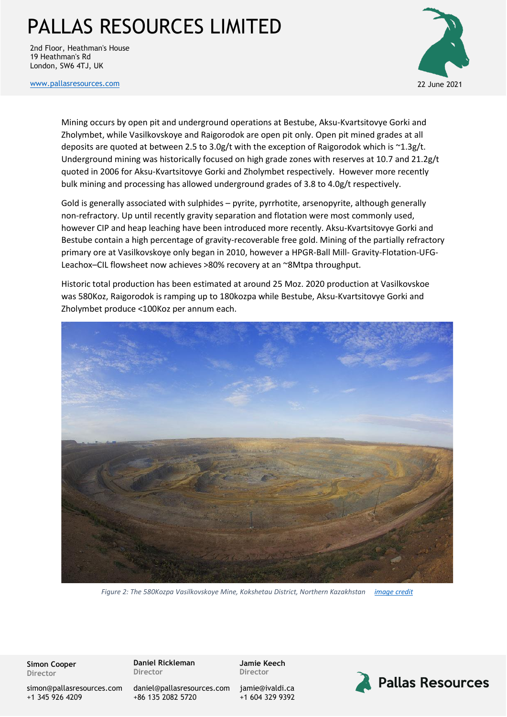2nd Floor, Heathman's House 19 Heathman's Rd London, SW6 4TJ, UK



[www.pallasresources.com](https://www.pallasresources.com/) 22 June 2021

Mining occurs by open pit and underground operations at Bestube, Aksu-Kvartsitovye Gorki and Zholymbet, while Vasilkovskoye and Raigorodok are open pit only. Open pit mined grades at all deposits are quoted at between 2.5 to 3.0g/t with the exception of Raigorodok which is  $\gamma$ 1.3g/t. Underground mining was historically focused on high grade zones with reserves at 10.7 and 21.2g/t quoted in 2006 for Aksu-Kvartsitovye Gorki and Zholymbet respectively. However more recently bulk mining and processing has allowed underground grades of 3.8 to 4.0g/t respectively.

Gold is generally associated with sulphides – pyrite, pyrrhotite, arsenopyrite, although generally non-refractory. Up until recently gravity separation and flotation were most commonly used, however CIP and heap leaching have been introduced more recently. Aksu-Kvartsitovye Gorki and Bestube contain a high percentage of gravity-recoverable free gold. Mining of the partially refractory primary ore at Vasilkovskoye only began in 2010, however a HPGR-Ball Mill- Gravity-Flotation-UFG-Leachox–CIL flowsheet now achieves >80% recovery at an ~8Mtpa throughput.

Historic total production has been estimated at around 25 Moz. 2020 production at Vasilkovskoe was 580Koz, Raigorodok is ramping up to 180kozpa while Bestube, Aksu-Kvartsitovye Gorki and Zholymbet produce <100Koz per annum each.



*Figure 2: The 580Kozpa Vasilkovskoye Mine, Kokshetau District, Northern Kazakhstan [image credit](https://bulatutemuratov.com/articles/gold-of-vasilkovskoye-how-altyntau-resources-company-became-a-gold-mining-flagship-in-kazakhstan/)*

**Simon Cooper Director**

**Daniel Rickleman Director**

**Jamie Keech Director**

[jamie@i](mailto:jamie@pallasresources.com)valdi.ca +1 604 329 9392



[simon@pallasresources.com](mailto:simon@pallasresources.com) +1 345 926 4209

[daniel@pallasresources.com](mailto:daniel@pallasresources.com) +86 135 2082 5720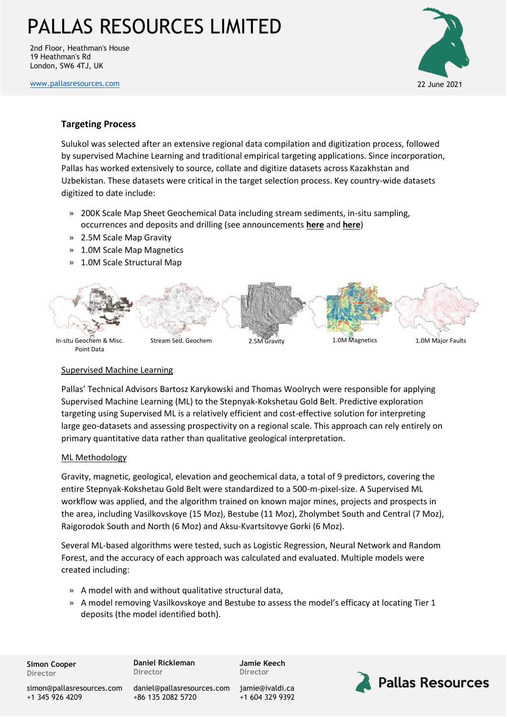2nd Floor, Heathman's House 19 Heathman's Rd London, SW6 4TJ, UK

[www.pallasresources.com](https://www.pallasresources.com/) 22 June 2021



#### **Targeting Process**

Sulukol was selected after an extensive regional data compilation and digitization process, followed by supervised Machine Learning and traditional empirical targeting applications. Since incorporation, Pallas has worked extensively to source, collate and digitize datasets across Kazakhstan and Uzbekistan. These datasets were critical in the target selection process. Key country-wide datasets digitized to date include:

- » 200K Scale Map Sheet Geochemical Data including stream sediments, in-situ sampling, occurrences and deposits and drilling (see announcements **[here](https://a37f3e04-beb6-4e88-91ae-96aa29aada29.filesusr.com/ugd/359854_38bc25085e1340b1b386e8c02dc0648e.pdf)** and **[here](https://a37f3e04-beb6-4e88-91ae-96aa29aada29.filesusr.com/ugd/359854_0d45c947528545b8ae89292dfc95ee7e.pdf)**)
- » 2.5M Scale Map Gravity
- » 1.0M Scale Map Magnetics
- » 1.0M Scale Structural Map



#### Supervised Machine Learning

Pallas' Technical Advisors Bartosz Karykowski and Thomas Woolrych were responsible for applying Supervised Machine Learning (ML) to the Stepnyak-Kokshetau Gold Belt. Predictive exploration targeting using Supervised ML is a relatively efficient and cost-effective solution for interpreting large geo-datasets and assessing prospectivity on a regional scale. This approach can rely entirely on primary quantitative data rather than qualitative geological interpretation.

#### ML Methodology

Gravity, magnetic, geological, elevation and geochemical data, a total of 9 predictors, covering the entire Stepnyak-Kokshetau Gold Belt were standardized to a 500-m-pixel-size. A Supervised ML workflow was applied, and the algorithm trained on known major mines, projects and prospects in the area, including Vasilkovskoye (15 Moz), Bestube (11 Moz), Zholymbet South and Central (7 Moz), Raigorodok South and North (6 Moz) and Aksu-Kvartsitovye Gorki (6 Moz).

Several ML-based algorithms were tested, such as Logistic Regression, Neural Network and Random Forest, and the accuracy of each approach was calculated and evaluated. Multiple models were created including:

- » A model with and without qualitative structural data,
- » A model removing Vasilkovskoye and Bestube to assess the model's efficacy at locating Tier 1 deposits (the model identified both).

**Simon Cooper Director**

**Daniel Rickleman Director**

**Jamie Keech Director**



[simon@pallasresources.com](mailto:simon@pallasresources.com) +1 345 926 4209

[daniel@pallasresources.com](mailto:daniel@pallasresources.com) +86 135 2082 5720

[jamie@i](mailto:jamie@pallasresources.com)valdi.ca +1 604 329 9392